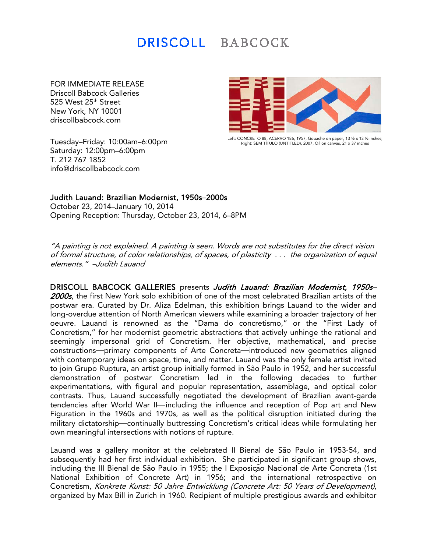## **DRISCOLL BABCOCK**

FOR IMMEDIATE RELEASE Driscoll Babcock Galleries 525 West 25<sup>th</sup> Street New York, NY 10001 driscollbabcock.com

Tuesday–Friday: 10:00am–6:00pm Saturday: 12:00pm–6:00pm T. 212 767 1852 info@driscollbabcock.com



Left: CONCRETO 88, ACERVO 186, 1957, Gouache on paper, 13 1⁄2 x 13 1⁄2 inches; Right: SEM TÍTULO (UNTITLED), 2007, Oil on canvas, 21 x 37 inches

## Judith Lauand: Brazilian Modernist, 1950s–2000s

October 23, 2014–January 10, 2014 Opening Reception: Thursday, October 23, 2014, 6–8PM

"A painting is not explained. A painting is seen. Words are not substitutes for the direct vision of formal structure, of color relationships, of spaces, of plasticity . . . the organization of equal elements." –Judith Lauand

DRISCOLL BABCOCK GALLERIES presents Judith Lauand: Brazilian Modernist, 1950s-2000s, the first New York solo exhibition of one of the most celebrated Brazilian artists of the postwar era. Curated by Dr. Aliza Edelman, this exhibition brings Lauand to the wider and long-overdue attention of North American viewers while examining a broader trajectory of her oeuvre. Lauand is renowned as the "Dama do concretismo," or the "First Lady of Concretism," for her modernist geometric abstractions that actively unhinge the rational and seemingly impersonal grid of Concretism. Her objective, mathematical, and precise constructions-primary components of Arte Concreta-introduced new geometries aligned with contemporary ideas on space, time, and matter. Lauand was the only female artist invited to join Grupo Ruptura, an artist group initially formed in São Paulo in 1952, and her successful demonstration of postwar Concretism led in the following decades to further experimentations, with figural and popular representation, assemblage, and optical color contrasts. Thus, Lauand successfully negotiated the development of Brazilian avant-garde tendencies after World War II—including the influence and reception of Pop art and New Figuration in the 1960s and 1970s, as well as the political disruption initiated during the military dictatorship—continually buttressing Concretism's critical ideas while formulating her own meaningful intersections with notions of rupture.

Lauand was a gallery monitor at the celebrated II Bienal de São Paulo in 1953-54, and subsequently had her first individual exhibition. She participated in significant group shows, including the III Bienal de São Paulo in 1955; the I Exposição Nacional de Arte Concreta (1st National Exhibition of Concrete Art) in 1956; and the international retrospective on Concretism, Konkrete Kunst: 50 Jahre Entwicklung (Concrete Art: 50 Years of Development), organized by Max Bill in Zurich in 1960. Recipient of multiple prestigious awards and exhibitor